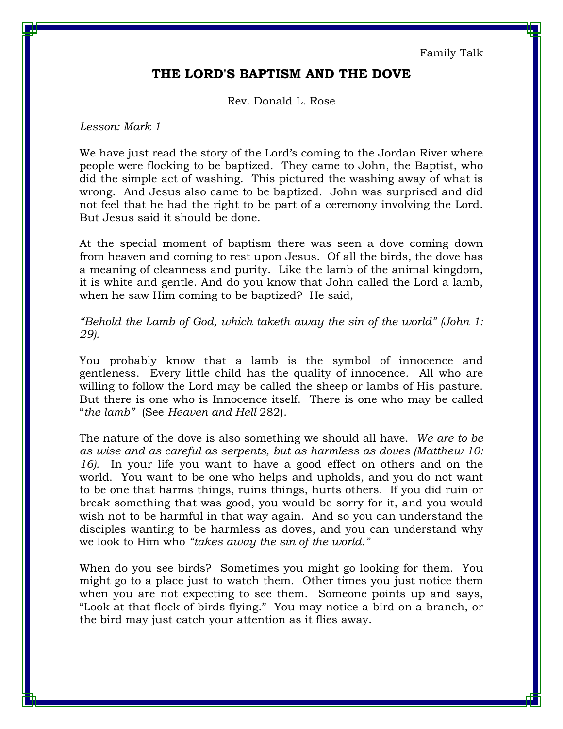Family Talk

## **THE LORD'S BAPTISM AND THE DOVE**

Rev. Donald L. Rose

## *Lesson: Mark 1*

We have just read the story of the Lord's coming to the Jordan River where people were flocking to be baptized. They came to John, the Baptist, who did the simple act of washing. This pictured the washing away of what is wrong. And Jesus also came to be baptized. John was surprised and did not feel that he had the right to be part of a ceremony involving the Lord. But Jesus said it should be done.

At the special moment of baptism there was seen a dove coming down from heaven and coming to rest upon Jesus. Of all the birds, the dove has a meaning of cleanness and purity. Like the lamb of the animal kingdom, it is white and gentle. And do you know that John called the Lord a lamb, when he saw Him coming to be baptized? He said,

## *"Behold the Lamb of God, which taketh away the sin of the world" (John 1: 29).*

You probably know that a lamb is the symbol of innocence and gentleness. Every little child has the quality of innocence. All who are willing to follow the Lord may be called the sheep or lambs of His pasture. But there is one who is Innocence itself. There is one who may be called "*the lamb"* (See *Heaven and Hell* 282).

The nature of the dove is also something we should all have. *We are to be as wise and as careful as serpents, but as harmless as doves (Matthew 10: 16).* In your life you want to have a good effect on others and on the world. You want to be one who helps and upholds, and you do not want to be one that harms things, ruins things, hurts others. If you did ruin or break something that was good, you would be sorry for it, and you would wish not to be harmful in that way again. And so you can understand the disciples wanting to be harmless as doves, and you can understand why we look to Him who *"takes away the sin of the world."* 

When do you see birds? Sometimes you might go looking for them. You might go to a place just to watch them. Other times you just notice them when you are not expecting to see them. Someone points up and says, "Look at that flock of birds flying." You may notice a bird on a branch, or the bird may just catch your attention as it flies away.